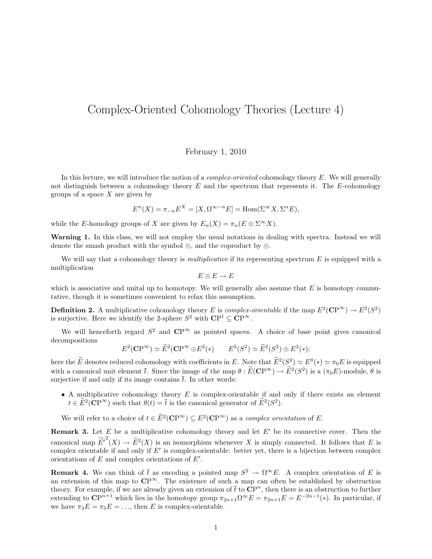## Complex-Oriented Cohomology Theories (Lecture 4)

## February 1, 2010

In this lecture, we will introduce the notion of a *complex-oriented* cohomology theory E. We will generally not distinguish between a cohomology theory  $E$  and the spectrum that represents it. The  $E$ -cohomology groups of a space  $X$  are given by

$$
E^{n}(X) = \pi_{-n} E^{X} = [X, \Omega^{\infty - n} E] = \text{Hom}(\Sigma^{\infty} X, \Sigma^{n} E),
$$

while the E-homology groups of X are given by  $E_n(X) = \pi_n(E \otimes \Sigma^{\infty} X)$ .

Warning 1. In this class, we will not employ the usual notations in dealing with spectra. Instead we will denote the smash product with the symbol ⊗, and the coproduct by ⊕.

We will say that a cohomology theory is *multiplicative* if its representing spectrum  $E$  is equipped with a multiplication

$$
E\otimes E\to E
$$

which is associative and unital up to homotopy. We will generally also assume that  $E$  is homotopy commutative, though it is sometimes convenient to relax this assumption.

**Definition 2.** A multiplicative cohomology theory E is complex-orientable if the map  $E^2(\mathbb{CP}^{\infty}) \to E^2(S^2)$ is surjective. Here we identify the 2-sphere  $S^2$  with  $\mathbb{CP}^1 \subseteq \mathbb{CP}^\infty$ .

We will henceforth regard  $S^2$  and  $\mathbb{CP}^{\infty}$  as pointed spaces. A choice of base point gives canonical decompositions

$$
E^2(\mathbf{CP}^{\infty}) \simeq \widetilde{E}^2(\mathbf{CP}^{\infty} \oplus E^2(*)
$$
  $E^2(S^2) \simeq \widetilde{E}^2(S^2) \oplus E^2(*)$ ;

here the  $\tilde{E}$  denotes reduced cohomology with coefficients in E. Note that  $\tilde{E}^2(S^2) \simeq E^0(*) \simeq \pi_0 E$  is equipped with a canonical unit element  $\bar{t}$ . Since the image of the map  $\theta : \widetilde{E}(\mathbf{CP}^{\infty}) \to \widetilde{E}^2(S^2)$  is a  $(\pi_0 E)$ -module,  $\theta$  is surjective if and only if its image contains  $\bar{t}$ . In other words:

• A multiplicative cohomology theory  $E$  is complex-orientable if and only if there exists an element  $t \in \widetilde{E}^2(\mathbb{C}\mathrm{P}^{\infty})$  such that  $\theta(t) = \overline{t}$  is the canonical generator of  $\widetilde{E}^2(S^2)$ .

We will refer to a choice of  $t \in \widetilde{E}^2(\mathbf{CP}^{\infty}) \subseteq E^2(\mathbf{CP}^{\infty})$  as a *complex orientation* of E.

**Remark 3.** Let E be a multiplicative cohomology theory and let  $E'$  be its connective cover. Then the canonical map  $\widetilde{E'}^2(X) \to \widetilde{E}^2(X)$  is an isomorphism whenever X is simply connected. It follows that E is complex orientable if and only if  $E'$  is complex-orientable: better yet, there is a bijection between complex orientations of  $E$  and complex orientations of  $E'$ .

**Remark 4.** We can think of  $\bar{t}$  as encoding a pointed map  $S^2 \to \Omega^\infty E$ . A complex orientation of E is an extension of this map to  $\mathbb{CP}^{\infty}$ . The existence of such a map can often be established by obstruction theory. For example, if we are already given an extension of  $\bar{t}$  to  $\mathbb{CP}^n$ , then there is an obstruction to further extending to  $\mathbb{CP}^{n+1}$  which lies in the homotopy group  $\pi_{2n+1}\Omega^{\infty}E = \pi_{2n+1}E = E^{-2n-1}(\ast)$ . In particular, if we have  $\pi_3 E = \pi_5 E = \dots$ , then E is complex-orientable.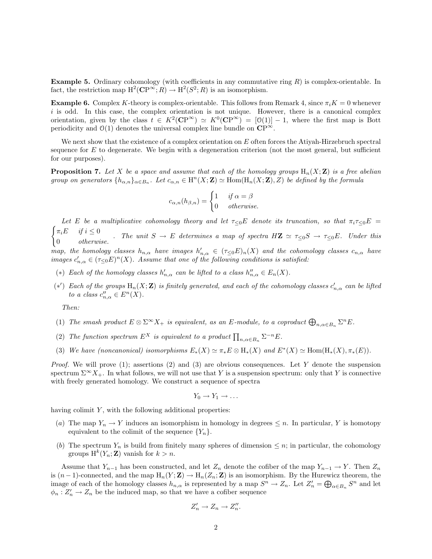**Example 5.** Ordinary cohomology (with coefficients in any commutative ring  $R$ ) is complex-orientable. In fact, the restriction map  $H^2(\mathbb{CP}^\infty; R) \to H^2(S^2; R)$  is an isomorphism.

**Example 6.** Complex K-theory is complex-orientable. This follows from Remark 4, since  $\pi_i K = 0$  whenever  $i$  is odd. In this case, the complex orientation is not unique. However, there is a canonical complex orientation, given by the class  $t \in K^2(\mathbb{CP}^{\infty}) \simeq K^0(\mathbb{CP}^{\infty}) = [0(1)] - 1$ , where the first map is Bott periodicity and  $\mathcal{O}(1)$  denotes the universal complex line bundle on  $\mathbf{CP}^{\infty}$ .

We next show that the existence of a complex orientation on  $E$  often forces the Atiyah-Hirzebruch spectral sequence for  $E$  to degenerate. We begin with a degeneration criterion (not the most general, but sufficient for our purposes).

**Proposition 7.** Let X be a space and assume that each of the homology groups  $H_n(X;\mathbf{Z})$  is a free abelian group on generators  $\{h_{\alpha,n}\}_{\alpha\in B_n}$ . Let  $c_{\alpha,n}\in H^n(X;\mathbf{Z})\simeq \text{Hom}(\text{H}_n(X;\mathbf{Z}),Z)$  be defined by the formula

$$
c_{\alpha,n}(h_{\beta,n}) = \begin{cases} 1 & \text{if } \alpha = \beta \\ 0 & \text{otherwise.} \end{cases}
$$

Let E be a multiplicative cohomology theory and let  $\tau_{\leq 0}E$  denote its truncation, so that  $\pi_i\tau_{\leq 0}E$  $\int \pi_i E \quad \text{if } i \leq 0$  $\begin{array}{lll} \n\sqrt[n]{a} & \sqrt[n]{b} \leq 0 \\
0 & otherwise.\n\end{array}$  The unit  $S \to E$  determines a map of spectra  $H\mathbf{Z} \simeq \tau_{\leq 0}S \to \tau_{\leq 0}E$ . Under this map, the homology classes  $h_{n,\alpha}$  have images  $h'_{n,\alpha} \in (\tau_{\leq 0}E)_n(X)$  and the cohomology classes  $c_{n,\alpha}$  have images  $c'_{n,\alpha} \in (\tau_{\leq 0}E)^n(X)$ . Assume that one of the following conditions is satisfied:

- (\*) Each of the homology classes  $h'_{n,\alpha}$  can be lifted to a class  $h''_{n,\alpha} \in E_n(X)$ .
- (\*) Each of the groups  $H_n(X; Z)$  is finitely generated, and each of the cohomology classes  $c'_{n,\alpha}$  can be lifted to a class  $c''_{n,\alpha} \in E^n(X)$ .

Then:

- (1) The smash product  $E \otimes \Sigma^{\infty} X_+$  is equivalent, as an E-module, to a coproduct  $\bigoplus_{n,\alpha \in B_n} \Sigma^n E$ .
- (2) The function spectrum  $E^X$  is equivalent to a product  $\prod_{n,\alpha\in B_n}\Sigma^{-n}E$ .
- (3) We have (noncanonical) isomorphisms  $E_*(X) \simeq \pi_* E \otimes H_*(X)$  and  $E^*(X) \simeq \text{Hom}(H_*(X), \pi_*(E)).$

*Proof.* We will prove (1); assertions (2) and (3) are obvious consequences. Let Y denote the suspension spectrum  $\Sigma^{\infty}X_{+}$ . In what follows, we will not use that Y is a suspension spectrum: only that Y is connective with freely generated homology. We construct a sequence of spectra

$$
Y_0 \to Y_1 \to \ldots
$$

having colimit  $Y$ , with the following additional properties:

- (a) The map  $Y_n \to Y$  induces an isomorphism in homology in degrees  $\leq n$ . In particular, Y is homotopy equivalent to the colimit of the sequence  ${Y_n}$ .
- (b) The spectrum  $Y_n$  is build from finitely many spheres of dimension  $\leq n$ ; in particular, the cohomology groups  $H^k(Y_n; \mathbf{Z})$  vanish for  $k > n$ .

Assume that  $Y_{n-1}$  has been constructed, and let  $Z_n$  denote the cofiber of the map  $Y_{n-1} \to Y$ . Then  $Z_n$ is  $(n-1)$ -connected, and the map  $H_n(Y; \mathbf{Z}) \to H_n(Z_n; \mathbf{Z})$  is an isomorphism. By the Hurewicz theorem, the image of each of the homology classes  $h_{n,\alpha}$  is represented by a map  $S^n \to Z_n$ . Let  $Z'_n = \bigoplus_{\alpha \in B_n} S^n$  and let  $\phi_n: Z'_n \to Z_n$  be the induced map, so that we have a cofiber sequence

$$
Z_n' \to Z_n \to Z_n''.
$$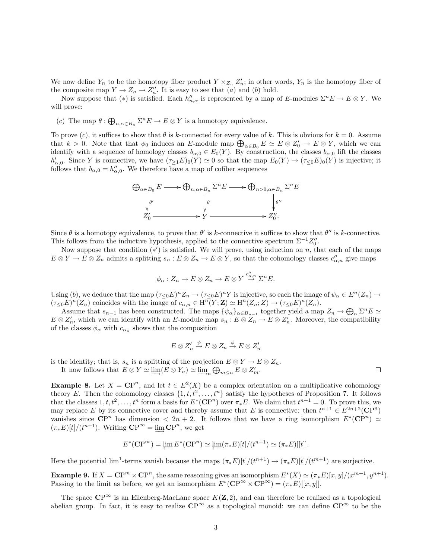We now define  $Y_n$  to be the homotopy fiber product  $Y \times_{Z_n} Z'_n$ ; in other words,  $Y_n$  is the homotopy fiber of the composite map  $Y \to Z_n \to Z_n''$ . It is easy to see that  $(a)$  and  $(b)$  hold.

Now suppose that (\*) is satisfied. Each  $h''_{n,\alpha}$  is represented by a map of E-modules  $\Sigma^n E \to E \otimes Y$ . We will prove:

(c) The map  $\theta : \bigoplus_{n,\alpha \in B_n} \Sigma^n E \to E \otimes Y$  is a homotopy equivalence.

To prove (c), it suffices to show that  $\theta$  is k-connected for every value of k. This is obvious for  $k = 0$ . Assume that  $k > 0$ . Note that that  $\phi_0$  induces an E-module map  $\bigoplus_{\alpha \in B_0} E \simeq E \otimes Z'_0 \to E \otimes Y$ , which we can identify with a sequence of homology classes  $b_{\alpha,0} \in E_0(Y)$ . By construction, the classes  $b_{\alpha,0}$  lift the classes  $h'_{\alpha,0}$ . Since Y is connective, we have  $(\tau_{\geq 1}E)_0(Y) \simeq 0$  so that the map  $E_0(Y) \to (\tau_{\leq 0}E)_0(Y)$  is injective; it follows that  $b_{\alpha,0} = h''_{\alpha,0}$ . We therefore have a map of cofiber sequences



Since  $\theta$  is a homotopy equivalence, to prove that  $\theta'$  is k-connective it suffices to show that  $\theta''$  is k-connective. This follows from the inductive hypothesis, applied to the connective spectrum  $\Sigma^{-1}Z_0''$ .

Now suppose that condition  $(*')$  is satisfied. We will prove, using induction on n, that each of the maps  $E \otimes Y \to E \otimes Z_n$  admits a splitting  $s_n : E \otimes Z_n \to E \otimes Y$ , so that the cohomology classes  $c''_{\alpha,n}$  give maps

$$
\phi_{\alpha}: Z_n \to E \otimes Z_n \to E \otimes Y \stackrel{c''_{\alpha,n}}{\to} \Sigma^n E.
$$

Using (b), we deduce that the map  $(\tau_{\leq 0}E)^n Z_n \to (\tau_{\leq 0}E)^n Y$  is injective, so each the image of  $\psi_\alpha \in E^n(Z_n) \to E^n(Z_n)$  $(\tau_{\leq 0}E)^n(Z_n)$  coincides with the image of  $c_{\alpha,n} \in \operatorname{H}^n(Y;\mathbf{Z}) \simeq \operatorname{H}^n(Z_n;Z) \to (\tau_{\leq 0}E)^n(Z_n)$ .

Assume that  $s_{n-1}$  has been constructed. The maps  $\{\psi_\alpha\}_{\alpha \in B_{n-1}}$  together yield a map  $Z_n \to \bigoplus_\alpha \Sigma^n E \simeq$  $E \otimes Z'_n$ , which we can identify with an E-module map  $s_n : E \otimes Z_n \to E \otimes Z'_n$ . Moreover, the compatibility of the classes  $\phi_{\alpha}$  with  $c_{\alpha_n}$  shows that the composition

$$
E\otimes Z_n'\stackrel{\psi}{\to} E\otimes Z_n\stackrel{\phi}{\to} E\otimes Z_n'
$$

is the identity; that is,  $s_n$  is a splitting of the projection  $E \otimes Y \to E \otimes Z_n$ .

It now follows that  $E \otimes Y \simeq \varinjlim(E \otimes Y_n) \simeq \varinjlim_n \bigoplus_{m \leq n} E \otimes Z'_m$ .

**Example 8.** Let  $X = \mathbb{C}P^n$ , and let  $t \in E^2(X)$  be a complex orientation on a multiplicative cohomology theory E. Then the cohomology classes  $\{1, t, t^2, \ldots, t^n\}$  satisfy the hypotheses of Proposition 7. It follows that the classes  $1, t, t^2, \ldots, t^n$  form a basis for  $E^*(\mathbb{CP}^n)$  over  $\pi_*E$ . We claim that  $t^{n+1} = 0$ . To prove this, we may replace E by its connective cover and thereby assume that E is connective: then  $t^{n+1} \in E^{2n+2}(\mathbb{C}\mathrm{P}^n)$ vanishes since  $\mathbb{CP}^n$  has dimension  $\langle 2n+2, 1$  follows that we have a ring isomorphism  $E^*(\mathbb{CP}^n) \simeq$  $(\pi_* E)[t]/(t^{n+1})$ . Writing  $\mathbb{CP}^{\infty} = \varinjlim \mathbb{CP}^n$ , we get

$$
E^*(\mathbf{CP}^\infty) = \varprojlim E^*(\mathbf{CP}^n) \simeq \varprojlim (\pi_*E)[t]/(t^{n+1}) \simeq (\pi_*E)[[t]].
$$

Here the potential  $\lim_{n \to \infty} \frac{1}{n}$  terms vanish because the maps  $(\pi_* E)[t]/(t^{n+1}) \to (\pi_* E)[t]/(t^{m+1})$  are surjective.

**Example 9.** If  $X = \mathbb{CP}^m \times \mathbb{CP}^n$ , the same reasoning gives an isomorphism  $E^*(X) \simeq (\pi_* E)[x, y]/(x^{m+1}, y^{n+1})$ . Passing to the limit as before, we get an isomorphism  $E^*(\mathbf{CP}^{\infty} \times \mathbf{CP}^{\infty}) = (\pi_* E)[[x, y]].$ 

The space  $\mathbb{CP}^{\infty}$  is an Eilenberg-MacLane space  $K(\mathbb{Z}, 2)$ , and can therefore be realized as a topological abelian group. In fact, it is easy to realize  $\mathbb{CP}^{\infty}$  as a topological monoid: we can define  $\mathbb{CP}^{\infty}$  to be the